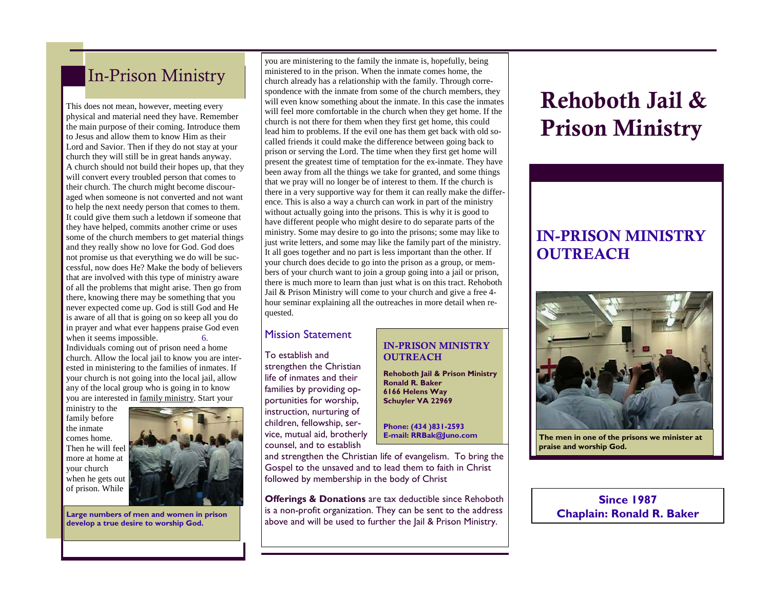## In-Prison Ministry

This does not mean, however, meeting every physical and material need they have. Remember the main purpose of their coming. Introduce them to Jesus and allow them to know Him as their Lord and Savior. Then if they do not stay at your church they will still be in great hands anyway. A church should not build their hopes up, that they will convert every troubled person that comes to their church. The church might become discouraged when someone is not converted and not want to help the next needy person that comes to them. It could give them such a letdown if someone that they have helped, commits another crime or uses some of the church members to get material things and they really show no love for God. God does not promise us that everything we do will be successful, now does He? Make the body of believers that are involved with this type of ministry aware of all the problems that might arise. Then go from there, knowing there may be something that you never expected come up. God is still God and He is aware of all that is going on so keep all you do in prayer and what ever happens praise God even when it seems impossible. 6. Individuals coming out of prison need a home church. Allow the local jail to know you are interested in ministering to the families of inmates. If your church is not going into the local jail, allow

any of the local group who is going in to know you are interested in family ministry. Start your ministry to the

family before the inmate comes home. Then he will feel more at home at your church when he gets out of prison. While



**Large numbers of men and women in prison develop a true desire to worship God.** 

you are ministering to the family the inmate is, hopefully, being ministered to in the prison. When the inmate comes home, the church already has a relationship with the family. Through correspondence with the inmate from some of the church members, they will even know something about the inmate. In this case the inmates will feel more comfortable in the church when they get home. If the church is not there for them when they first get home, this could lead him to problems. If the evil one has them get back with old socalled friends it could make the difference between going back to prison or serving the Lord. The time when they first get home will present the greatest time of temptation for the ex-inmate. They have been away from all the things we take for granted, and some things that we pray will no longer be of interest to them. If the church is there in a very supportive way for them it can really make the difference. This is also a way a church can work in part of the ministry without actually going into the prisons. This is why it is good to have different people who might desire to do separate parts of the ministry. Some may desire to go into the prisons; some may like to just write letters, and some may like the family part of the ministry. It all goes together and no part is less important than the other. If your church does decide to go into the prison as a group, or members of your church want to join a group going into a jail or prison, there is much more to learn than just what is on this tract. Rehoboth Jail & Prison Ministry will come to your church and give a free 4 hour seminar explaining all the outreaches in more detail when requested.

#### Mission Statement

To establish and strengthen the Christian life of inmates and their families by providing opportunities for worship, instruction, nurturing of children, fellowship, service, mutual aid, brotherly counsel, and to establish

### IN-PRISON MINISTRY **OUTREACH**

**Rehoboth Jail & Prison Ministry Ronald R. Baker 6166 Helens Way Schuyler VA 22969** 

**Phone: (434 )831-2593 E-mail: RRBak@Juno.com** 

and strengthen the Christian life of evangelism. To bring the Gospel to the unsaved and to lead them to faith in Christ followed by membership in the body of Christ

**Offerings & Donations** are tax deductible since Rehoboth is a non-profit organization. They can be sent to the address above and will be used to further the Jail & Prison Ministry.

# Rehoboth Jail & Prison Ministry

### IN-PRISON MINISTRY **OUTREACH**



**The men in one of the prisons we minister at praise and worship God.** 

### **Since 1987 Chaplain: Ronald R. Baker**